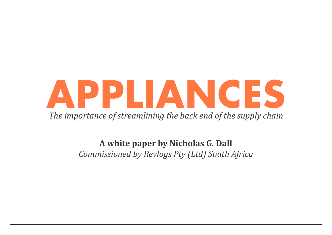# **APPLIANCES** *The importance of streamlining the back end of the supply chain*

**A white paper by Nicholas G. Dall** *Commissioned by Revlogs Pty (Ltd) South Africa*

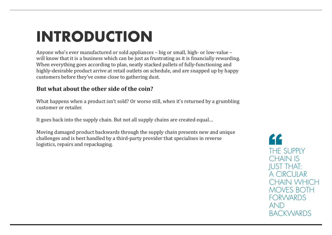# **INTRODUCTION**

Anyone who's ever manufactured or sold appliances – big or small, high- or low-value – will know that it is a business which can be just as frustrating as it is financially rewarding. When everything goes according to plan, neatly stacked pallets of fully-functioning and highly-desirable product arrive at retail outlets on schedule, and are snapped up by happy customers before they've come close to gathering dust.

### **But what about the other side of the coin?**

What happens when a product isn't sold? Or worse still, when it's returned by a grumbling customer or retailer.

It goes back into the supply chain. But not all supply chains are created equal…

Moving damaged product backwards through the supply chain presents new and unique challenges and is best handled by a third-party provider that specialises in reverse logistics, repairs and repackaging.

THE SUPPLY CHAIN IS JUST THAT: A CIRCULAR CHAIN WHICH MOVES BOTH FORWARDS AND BACKWARDS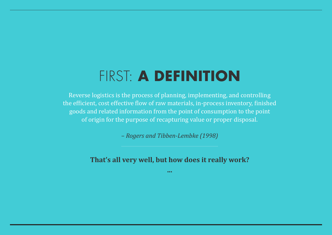## FIRST: **A DEFINITION**

Reverse logistics is the process of planning, implementing, and controlling the efficient, cost effective flow of raw materials, in-process inventory, finished goods and related information from the point of consumption to the point of origin for the purpose of recapturing value or proper disposal.

*– Rogers and Tibben-Lembke (1998)* 

**That's all very well, but how does it really work?**

**...**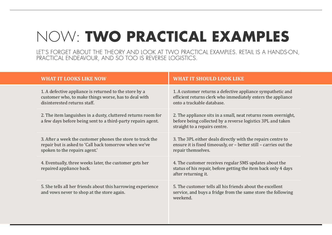### NOW: **TWO PRACTICAL EXAMPLES** LET'S FORGET ABOUT THE THEORY AND LOOK AT TWO PRACTICAL EXAMPLES. RETAIL IS A HANDS-ON,

PRACTICAL ENDEAVOUR, AND SO TOO IS REVERSE LOGISTICS.

| <b>WHAT IT SHOULD LOOK LIKE</b>                                                                                                                                                                                                                          |
|----------------------------------------------------------------------------------------------------------------------------------------------------------------------------------------------------------------------------------------------------------|
| 1. A defective appliance is returned to the store by a<br>1. A customer returns a defective applia<br>customer who, to make things worse, has to deal with<br>efficient returns clerk who immediately<br>onto a trackable database.                      |
| 2. The item languishes in a dusty, cluttered returns room for<br>2. The appliance sits in a small, neat ret<br>a few days before being sent to a third-party repairs agent.<br>before being collected by a reverse logi<br>straight to a repairs centre. |
| 3. The 3PL either deals directly with th<br>3. After a week the customer phones the store to track the<br>repair but is asked to 'Call back tomorrow when we've<br>ensure it is fixed timeously, or - better<br>repair themselves.                       |
| 4. The customer receives regular SMS u<br>4. Eventually, three weeks later, the customer gets her<br>status of his repair, before getting the it<br>after returning it.                                                                                  |
| 5. The customer tells all his friends abo<br>5. She tells all her friends about this harrowing experience<br>service, and buys a fridge from the sam<br>weekend.                                                                                         |
|                                                                                                                                                                                                                                                          |

Ince sympathetic and enters the appliance

turns room overnight, istics 3PL and taken

e repairs centre to still – carries out the

updates about the tem back only 4 days

but the excellent ne store the following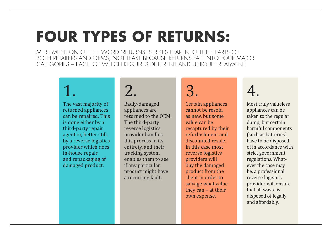# **FOUR TYPES OF RETURNS:**

MERE MENTION OF THE WORD 'RETURNS' STRIKES FEAR INTO THE HEARTS OF BOTH RETAILERS AND OEMS, NOT LEAST BECAUSE RETURNS FALL INTO FOUR MAJOR CATEGORIES – EACH OF WHICH REQUIRES DIFFERENT AND UNIQUE TREATMENT.

The vast majority of returned appliances can be repaired. This is done either by a third-party repair agent or, better still, by a reverse logistics provider which does in-house repair and repackaging of damaged product.

# $1. 2. 3. 4.$

Badly-damaged appliances are returned to the OEM. The third-party reverse logistics provider handles this process in its entirety, and their tracking system enables them to see if any particular product might have a recurring fault.

Certain appliances cannot be resold as new, but some value can be recaptured by their refurbishment and discounted resale. In this case most reverse logistics providers will buy the damaged product from the client in order to salvage what value they can – at their own expense.

Most truly valueless appliances can be taken to the regular dump, but certain harmful components (such as batteries) have to be disposed of in accordance with strict government regulations. Whatever the case may be, a professional reverse logistics provider will ensure that all waste is disposed of legally and affordably.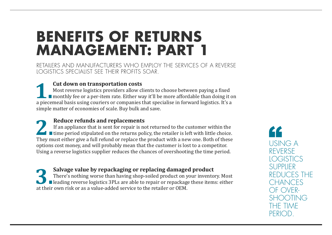## **BENEFITS OF RETURNS MANAGEMENT: PART 1**

RETAILERS AND MANUFACTURERS WHO EMPLOY THE SERVICES OF A REVERSE LOGISTICS SPECIALIST SEE THEIR PROFITS SOAR.

**1. Cut down on transportation costs**<br>Most reverse logistics providers allow contract a monthly fee or a per-item rate. Either w Most reverse logistics providers allow clients to choose between paying a fixed monthly fee or a per-item rate. Either way it'll be more affordable than doing it on a piecemeal basis using couriers or companies that specialise in forward logistics. It's a simple matter of economies of scale. Buy bulk and save.

**2. Reduce refunds and replacements**<br>If an appliance that is sent for repair is not time period stipulated on the returns pol<br>They must either give a full refund or replace the If an appliance that is sent for repair is not returned to the customer within the time period stipulated on the returns policy, the retailer is left with little choice. They must either give a full refund or replace the product with a new one. Both of these options cost money, and will probably mean that the customer is lost to a competitor. Using a reverse logistics supplier reduces the chances of overshooting the time period.

**3. Salvage value by repackaging or replacing damaged product**<br>There's nothing worse than having shop-soiled product on your inventor<br>leading reverse logistics 3PLs are able to repair or repackage these item<br>at their own r There's nothing worse than having shop-soiled product on your inventory. Most ■ leading reverse logistics 3PLs are able to repair or repackage these items: either at their own risk or as a value-added service to the retailer or OEM.

USING A REVERSE LOGISTICS **SUPPLIER** REDUCES THE CHANCES OF OVER-SHOOTING THE TIME PFRIO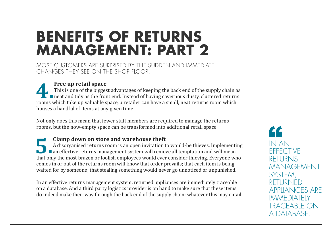## **BENEFITS OF RETURNS MANAGEMENT: PART 2**

MOST CUSTOMERS ARE SURPRISED BY THE SUDDEN AND IMMEDIATE CHANGES THEY SEE ON THE SHOP FLOOR.

Free up retail space<br>This is one of the bigges<br>neat and tidy as the from This is one of the biggest advantages of keeping the back end of the supply chain as  $\;$ ■ neat and tidy as the front end. Instead of having cavernous dusty, cluttered returns rooms which take up valuable space, a retailer can have a small, neat returns room which houses a handful of items at any given time.

Not only does this mean that fewer staff members are required to manage the returns rooms, but the now-empty space can be transformed into additional retail space.

**5.Clamp down on store and warehouse theft**<br>A disorganised returns room is an open invitation that only the most brazen or foolish employees would even A disorganised returns room is an open invitation to would-be thieves. Implementing **an effective returns management system will remove all temptation and will mean** that only the most brazen or foolish employees would ever consider thieving. Everyone who comes in or out of the returns room will know that order prevails; that each item is being waited for by someone; that stealing something would never go unnoticed or unpunished.

In an effective returns management system, returned appliances are immediately traceable on a database. And a third party logistics provider is on hand to make sure that these items do indeed make their way through the back end of the supply chain: whatever this may entail. IN AN **EFFECTIVE** RETURNS MANAGEMENT SYSTEM, RETURNED APPLIANCES ARE **IMMEDIATELY** TRACEABLE ON A DATABASE.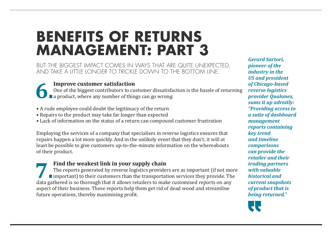## **BENEFITS OF RETURNS MANAGEMENT: PART 3**

BUT THE BIGGEST IMPACT COMES IN WAYS THAT ARE QUITE UNEXPECTED, AND TAKE A LITTLE LONGER TO TRICKLE DOWN TO THE BOTTOM LINE.

**6. Improve customer satisfaction**<br>One of the biggest contributors to currently a product, where any number of thin One of the biggest contributors to customer dissatisfaction is the hassle of returning **a** a product, where any number of things can go wrong:

- A rude employee could doubt the legitimacy of the return
- Repairs to the product may take far longer than expected
- Lack of information on the status of a return can compound customer frustration

**7. Find the weakest link in your supply chain**<br>The reports generated by reverse logistics provide<br>important) to their customers than the transportated as the state of the state it allows retailers to mall The reports generated by reverse logistics providers are as important (if not more Important) to their customers than the transportation services they provide. The data gathered is so thorough that it allows retailers to make customised reports on any aspect of their business. These reports help them get rid of dead wood and streamline future operations, thereby maximising profit.

Employing the services of a company that specialises in reverse logistics ensures that repairs happen a lot more quickly. And in the unlikely event that they don't, it will at least be possible to give customers up-to-the-minute information on the whereabouts of their product.

*Gerard Sartori, pioneer of the industry in the US and president of Chicago-based reverse logistics provider Qualanex, sums it up adroitly: "Providing access to a suite of dashboard management reports containing key trend and timeline comparisons can provide the retailer and their trading partners with valuable historical and current snapshots of product that is being returned."*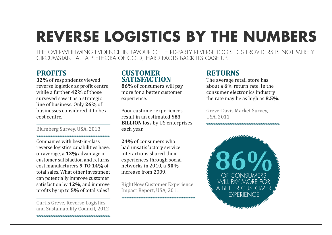### **REVERSE LOGISTICS BY THE NUMBERS** THE OVERWHELMING EVIDENCE IN FAVOUR OF THIRD-PARTY REVERSE LOGISTICS PROVIDERS IS NOT MERELY

CIRCUMSTANTIAL. A PLETHORA OF COLD, HARD FACTS BACK ITS CASE UP.

### **PROFITS**

**32%** of respondents viewed reverse logistics as profit centre, while a further **42%** of those surveyed saw it as a strategic line of business. Only **26%** of businesses considered it to be a cost centre.

Blumberg Survey, USA, 2013

Companies with best-in-class reverse logistics capabilities have, on average, a **12%** advantage in customer satisfaction and returns cost manufacturers **9 TO 14%** of total sales. What other investment can potentially improve customer satisfaction by **12%**, and improve profits by up to **5%** of total sales?

Curtis Greve, Reverse Logistics and Sustainability Council, 2012

### **CUSTOMER SATISFACTION**

**86%** of consumers will pay more for a better customer experience.

Poor customer experiences result in an estimated **\$83 BILLION** loss by US enterprises each year.

**24%** of consumers who had unsatisfactory service interactions shared their experiences through social networks in 2010, a **50%** increase from 2009.

RightNow Customer Experience Impact Report, USA, 2011

### **RETURNS**

The average retail store has about a **6%** return rate. In the consumer electronics industry the rate may be as high as **8.5%**.

Greve-Davis Market Survey, USA, 2011